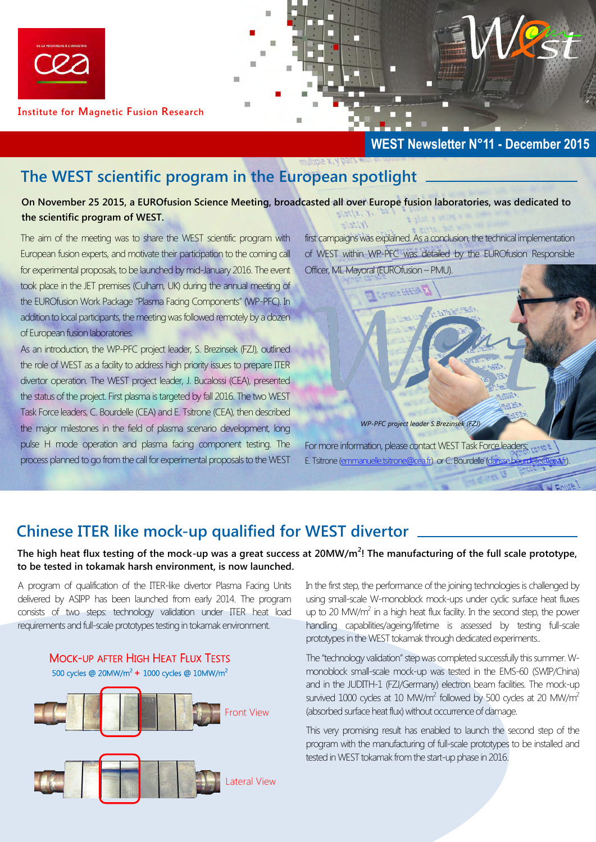

**Institute for Magnetic Fusion Research** 

#### **WEST Newsletter N°11 - December 2015**

# **The WEST scientific program in the European spotlight**

**On November 25 2015, a EUROfusion Science Meeting, broadcasted all over Europe fusion laboratories, was dedicated to the scientific program of WEST.** 

The aim of the meeting was to share the WEST scientific program with European fusion experts, and motivate their participation to the coming call for experimental proposals, to be launched by mid-January 2016. The event took place in the JET premises (Culham, UK) during the annual meeting of the EUROfusion Work Package "Plasma Facing Components" (WP-PFC). In addition to local participants, the meeting was followed remotely by a dozen of European fusion laboratories.

As an introduction, the WP-PFC project leader, S. Brezinsek (FZJ), outlined the role of WEST as a facility to address high priority issues to prepare ITER divertor operation. The WEST project leader, J. Bucalossi (CEA), presented the status of the project. First plasma is targeted by fall 2016. The two WEST Task Force leaders, C. Bourdelle (CEA) and E. Tsitrone (CEA), then described the major milestones in the field of plasma scenario development, long pulse H mode operation and plasma facing component testing. The process planned to go from the call for experimental proposals to the WEST

first campaigns was explained. As a conclusion, the technical implementation of WEST within WP-PFC was detailed by the EUROfusion Responsible Officer, ML Mayoral (EUROfusion – PMU).



For more information, please contact WEST Task Force leaders; and the E. Tsitrone [\(emmanuelle.tsitrone@cea.fr\)](mailto:emmanuelle.tsitrone@cea.fr) or C. Bourdelle (clari

### **Chinese ITER like mock-up qualified for WEST divertor**

**The high heat flux testing of the mock-up was a great success at 20MW/m<sup>2</sup> ! The manufacturing of the full scale prototype, to be tested in tokamak harsh environment, is now launched.**

A program of qualification of the ITER-like divertor Plasma Facing Units delivered by ASIPP has been launched from early 2014. The program consists of two steps: technology validation under ITER heat load requirements and full-scale prototypes testing in tokamak environment.



In the first step, the performance of the joining technologies is challenged by using small-scale W-monoblock mock-ups under cyclic surface heat fluxes up to 20 MW/m<sup>2</sup> in a high heat flux facility. In the second step, the power handling capabilities/ageing/lifetime is assessed by testing full-scale prototypes in the WEST tokamak through dedicated experiments..

The "technology validation" step was completed successfully this summer. Wmonoblock small-scale mock-up was tested in the EMS-60 (SWIP/China) and in the JUDITH-1 (FZJ/Germany) electron beam facilities. The mock-up survived 1000 cycles at 10 MW/ $m^2$  followed by 500 cycles at 20 MW/ $m^2$ (absorbed surface heat flux) without occurrence of damage.

This very promising result has enabled to launch the second step of the program with the manufacturing of full-scale prototypes to be installed and tested in WEST tokamak from the start-up phase in 2016.